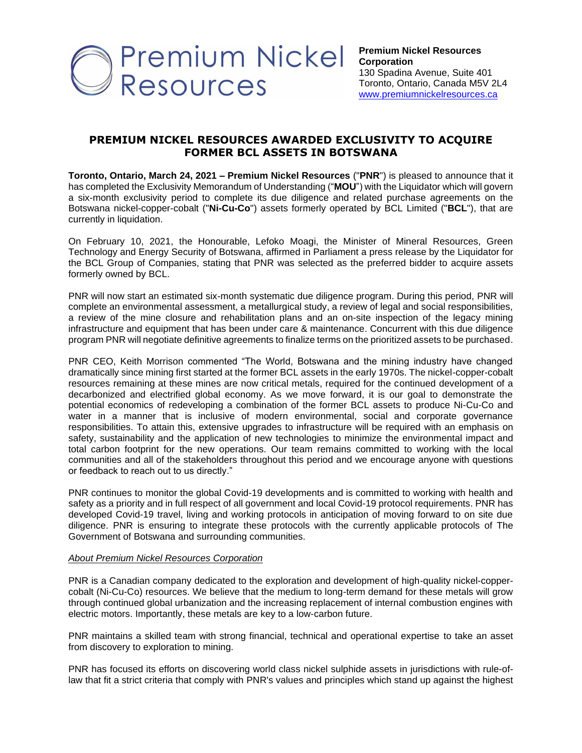

## **PREMIUM NICKEL RESOURCES AWARDED EXCLUSIVITY TO ACQUIRE FORMER BCL ASSETS IN BOTSWANA**

**Toronto, Ontario, March 24, 2021 – Premium Nickel Resources** ("**PNR**") is pleased to announce that it has completed the Exclusivity Memorandum of Understanding ("**MOU**") with the Liquidator which will govern a six-month exclusivity period to complete its due diligence and related purchase agreements on the Botswana nickel-copper-cobalt ("**Ni-Cu-Co**") assets formerly operated by BCL Limited ("**BCL**"), that are currently in liquidation.

On February 10, 2021, the Honourable, Lefoko Moagi, the Minister of Mineral Resources, Green Technology and Energy Security of Botswana, affirmed in Parliament a press release by the Liquidator for the BCL Group of Companies, stating that PNR was selected as the preferred bidder to acquire assets formerly owned by BCL.

PNR will now start an estimated six-month systematic due diligence program. During this period, PNR will complete an environmental assessment, a metallurgical study, a review of legal and social responsibilities, a review of the mine closure and rehabilitation plans and an on-site inspection of the legacy mining infrastructure and equipment that has been under care & maintenance. Concurrent with this due diligence program PNR will negotiate definitive agreements to finalize terms on the prioritized assets to be purchased.

PNR CEO, Keith Morrison commented "The World, Botswana and the mining industry have changed dramatically since mining first started at the former BCL assets in the early 1970s. The nickel-copper-cobalt resources remaining at these mines are now critical metals, required for the continued development of a decarbonized and electrified global economy. As we move forward, it is our goal to demonstrate the potential economics of redeveloping a combination of the former BCL assets to produce Ni-Cu-Co and water in a manner that is inclusive of modern environmental, social and corporate governance responsibilities. To attain this, extensive upgrades to infrastructure will be required with an emphasis on safety, sustainability and the application of new technologies to minimize the environmental impact and total carbon footprint for the new operations. Our team remains committed to working with the local communities and all of the stakeholders throughout this period and we encourage anyone with questions or feedback to reach out to us directly."

PNR continues to monitor the global Covid-19 developments and is committed to working with health and safety as a priority and in full respect of all government and local Covid-19 protocol requirements. PNR has developed Covid-19 travel, living and working protocols in anticipation of moving forward to on site due diligence. PNR is ensuring to integrate these protocols with the currently applicable protocols of The Government of Botswana and surrounding communities.

## *About Premium Nickel Resources Corporation*

PNR is a Canadian company dedicated to the exploration and development of high-quality nickel-coppercobalt (Ni-Cu-Co) resources. We believe that the medium to long-term demand for these metals will grow through continued global urbanization and the increasing replacement of internal combustion engines with electric motors. Importantly, these metals are key to a low-carbon future.

PNR maintains a skilled team with strong financial, technical and operational expertise to take an asset from discovery to exploration to mining.

PNR has focused its efforts on discovering world class nickel sulphide assets in jurisdictions with rule-oflaw that fit a strict criteria that comply with PNR's values and principles which stand up against the highest